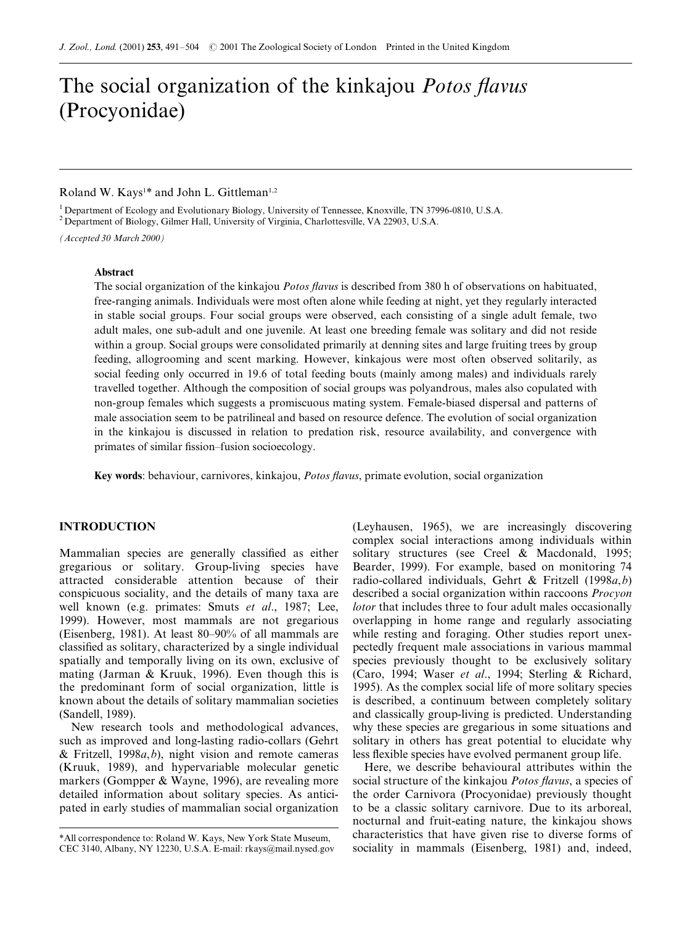# The social organization of the kinkajou Potos flavus (Procyonidae)

# Roland W. Kays<sup>1\*</sup> and John L. Gittleman<sup>1,2</sup>

<sup>1</sup> Department of Ecology and Evolutionary Biology, University of Tennessee, Knoxville, TN 37996-0810, U.S.A.

<sup>2</sup> Department of Biology, Gilmer Hall, University of Virginia, Charlottesville, VA 22903, U.S.A.

(Accepted 30 March 2000)

## Abstract

The social organization of the kinkajou *Potos flavus* is described from 380 h of observations on habituated, free-ranging animals. Individuals were most often alone while feeding at night, yet they regularly interacted in stable social groups. Four social groups were observed, each consisting of a single adult female, two adult males, one sub-adult and one juvenile. At least one breeding female was solitary and did not reside within a group. Social groups were consolidated primarily at denning sites and large fruiting trees by group feeding, allogrooming and scent marking. However, kinkajous were most often observed solitarily, as social feeding only occurred in 19.6 of total feeding bouts (mainly among males) and individuals rarely travelled together. Although the composition of social groups was polyandrous, males also copulated with non-group females which suggests a promiscuous mating system. Female-biased dispersal and patterns of male association seem to be patrilineal and based on resource defence. The evolution of social organization in the kinkajou is discussed in relation to predation risk, resource availability, and convergence with primates of similar fission-fusion socioecology.

Key words: behaviour, carnivores, kinkajou, *Potos flavus*, primate evolution, social organization

#### INTRODUCTION

Mammalian species are generally classified as either gregarious or solitary. Group-living species have attracted considerable attention because of their conspicuous sociality, and the details of many taxa are well known (e.g. primates: Smuts et al., 1987; Lee, 1999). However, most mammals are not gregarious (Eisenberg, 1981). At least  $80-90\%$  of all mammals are classified as solitary, characterized by a single individual spatially and temporally living on its own, exclusive of mating (Jarman & Kruuk, 1996). Even though this is the predominant form of social organization, little is known about the details of solitary mammalian societies (Sandell, 1989).

New research tools and methodological advances, such as improved and long-lasting radio-collars (Gehrt  $&$  Fritzell, 1998 $a$ , b), night vision and remote cameras (Kruuk, 1989), and hypervariable molecular genetic markers (Gompper & Wayne, 1996), are revealing more detailed information about solitary species. As anticipated in early studies of mammalian social organization (Leyhausen, 1965), we are increasingly discovering complex social interactions among individuals within solitary structures (see Creel & Macdonald, 1995; Bearder, 1999). For example, based on monitoring 74 radio-collared individuals, Gehrt & Fritzell (1998a,b) described a social organization within raccoons Procyon lotor that includes three to four adult males occasionally overlapping in home range and regularly associating while resting and foraging. Other studies report unexpectedly frequent male associations in various mammal species previously thought to be exclusively solitary (Caro, 1994; Waser et al., 1994; Sterling & Richard, 1995). As the complex social life of more solitary species is described, a continuum between completely solitary and classically group-living is predicted. Understanding why these species are gregarious in some situations and solitary in others has great potential to elucidate why less flexible species have evolved permanent group life.

Here, we describe behavioural attributes within the social structure of the kinkajou *Potos flavus*, a species of the order Carnivora (Procyonidae) previously thought to be a classic solitary carnivore. Due to its arboreal, nocturnal and fruit-eating nature, the kinkajou shows characteristics that have given rise to diverse forms of sociality in mammals (Eisenberg, 1981) and, indeed,

<sup>\*</sup>All correspondence to: Roland W. Kays, New York State Museum, CEC 3140, Albany, NY 12230, U.S.A. E-mail: rkays@mail.nysed.gov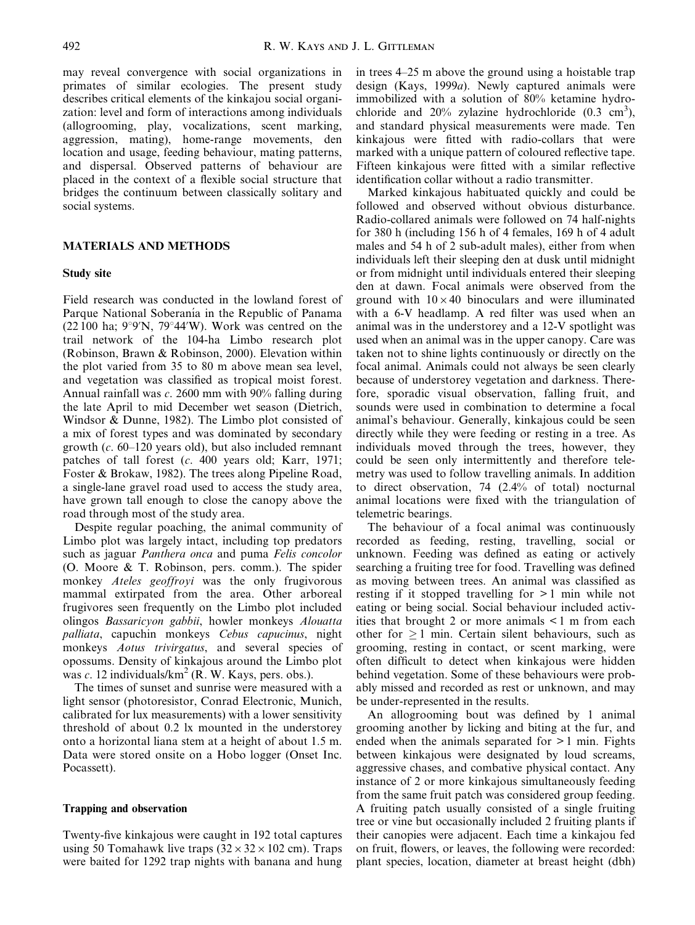may reveal convergence with social organizations in primates of similar ecologies. The present study describes critical elements of the kinkajou social organization: level and form of interactions among individuals (allogrooming, play, vocalizations, scent marking, aggression, mating), home-range movements, den location and usage, feeding behaviour, mating patterns, and dispersal. Observed patterns of behaviour are placed in the context of a flexible social structure that bridges the continuum between classically solitary and social systems.

# MATERIALS AND METHODS

#### Study site

Field research was conducted in the lowland forest of Parque National Soberanía in the Republic of Panama (22 100 ha;  $9^{\circ}$ 9'N, 79 $^{\circ}$ 44'W). Work was centred on the trail network of the 104-ha Limbo research plot (Robinson, Brawn & Robinson, 2000). Elevation within the plot varied from 35 to 80 m above mean sea level, and vegetation was classified as tropical moist forest. Annual rainfall was c. 2600 mm with 90% falling during the late April to mid December wet season (Dietrich, Windsor & Dunne, 1982). The Limbo plot consisted of a mix of forest types and was dominated by secondary growth  $(c. 60-120$  years old), but also included remnant patches of tall forest (c. 400 years old; Karr, 1971; Foster & Brokaw, 1982). The trees along Pipeline Road, a single-lane gravel road used to access the study area, have grown tall enough to close the canopy above the road through most of the study area.

Despite regular poaching, the animal community of Limbo plot was largely intact, including top predators such as jaguar Panthera onca and puma Felis concolor (O. Moore & T. Robinson, pers. comm.). The spider monkey Ateles geoffroyi was the only frugivorous mammal extirpated from the area. Other arboreal frugivores seen frequently on the Limbo plot included olingos Bassaricyon gabbii, howler monkeys Alouatta palliata, capuchin monkeys Cebus capucinus, night monkeys Aotus trivirgatus, and several species of opossums. Density of kinkajous around the Limbo plot was c. 12 individuals/ $km^2$  (R. W. Kays, pers. obs.).

The times of sunset and sunrise were measured with a light sensor (photoresistor, Conrad Electronic, Munich, calibrated for lux measurements) with a lower sensitivity threshold of about 0.2 lx mounted in the understorey onto a horizontal liana stem at a height of about 1.5 m. Data were stored onsite on a Hobo logger (Onset Inc. Pocassett).

## Trapping and observation

Twenty-five kinkajous were caught in 192 total captures using 50 Tomahawk live traps  $(32 \times 32 \times 102 \text{ cm})$ . Traps were baited for 1292 trap nights with banana and hung in trees  $4-25$  m above the ground using a hoistable trap design (Kays, 1999a). Newly captured animals were immobilized with a solution of 80% ketamine hydrochloride and  $20\%$  zylazine hydrochloride  $(0.3 \text{ cm}^3)$ , and standard physical measurements were made. Ten kinkajous were fitted with radio-collars that were marked with a unique pattern of coloured reflective tape. Fifteen kinkajous were fitted with a similar reflective identification collar without a radio transmitter.

Marked kinkajous habituated quickly and could be followed and observed without obvious disturbance. Radio-collared animals were followed on 74 half-nights for 380 h (including 156 h of 4 females, 169 h of 4 adult males and 54 h of 2 sub-adult males), either from when individuals left their sleeping den at dusk until midnight or from midnight until individuals entered their sleeping den at dawn. Focal animals were observed from the ground with  $10 \times 40$  binoculars and were illuminated with a 6-V headlamp. A red filter was used when an animal was in the understorey and a 12-V spotlight was used when an animal was in the upper canopy. Care was taken not to shine lights continuously or directly on the focal animal. Animals could not always be seen clearly because of understorey vegetation and darkness. Therefore, sporadic visual observation, falling fruit, and sounds were used in combination to determine a focal animal's behaviour. Generally, kinkajous could be seen directly while they were feeding or resting in a tree. As individuals moved through the trees, however, they could be seen only intermittently and therefore telemetry was used to follow travelling animals. In addition to direct observation, 74 (2.4% of total) nocturnal animal locations were fixed with the triangulation of telemetric bearings.

The behaviour of a focal animal was continuously recorded as feeding, resting, travelling, social or unknown. Feeding was defined as eating or actively searching a fruiting tree for food. Travelling was defined as moving between trees. An animal was classified as resting if it stopped travelling for > 1 min while not eating or being social. Social behaviour included activities that brought 2 or more animals < 1 m from each other for  $\geq 1$  min. Certain silent behaviours, such as grooming, resting in contact, or scent marking, were often difficult to detect when kinkajous were hidden behind vegetation. Some of these behaviours were probably missed and recorded as rest or unknown, and may be under-represented in the results.

An allogrooming bout was defined by 1 animal grooming another by licking and biting at the fur, and ended when the animals separated for  $> 1$  min. Fights between kinkajous were designated by loud screams, aggressive chases, and combative physical contact. Any instance of 2 or more kinkajous simultaneously feeding from the same fruit patch was considered group feeding. A fruiting patch usually consisted of a single fruiting tree or vine but occasionally included 2 fruiting plants if their canopies were adjacent. Each time a kinkajou fed on fruit, flowers, or leaves, the following were recorded: plant species, location, diameter at breast height (dbh)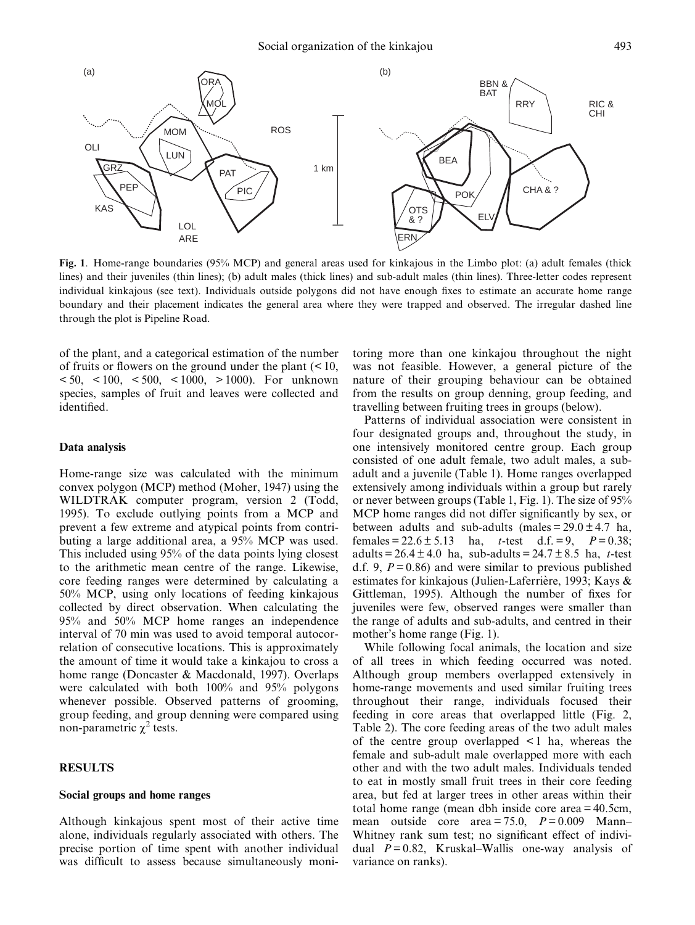

Fig. 1. Home-range boundaries (95% MCP) and general areas used for kinkajous in the Limbo plot: (a) adult females (thick lines) and their juveniles (thin lines); (b) adult males (thick lines) and sub-adult males (thin lines). Three-letter codes represent individual kinkajous (see text). Individuals outside polygons did not have enough fixes to estimate an accurate home range boundary and their placement indicates the general area where they were trapped and observed. The irregular dashed line through the plot is Pipeline Road.

of the plant, and a categorical estimation of the number of fruits or flowers on the ground under the plant  $(< 10$ ,  $< 50,$   $< 100,$   $< 500,$   $< 1000,$   $> 1000$ ). For unknown species, samples of fruit and leaves were collected and identified.

## Data analysis

Home-range size was calculated with the minimum convex polygon (MCP) method (Moher, 1947) using the WILDTRAK computer program, version 2 (Todd, 1995). To exclude outlying points from a MCP and prevent a few extreme and atypical points from contributing a large additional area, a 95% MCP was used. This included using 95% of the data points lying closest to the arithmetic mean centre of the range. Likewise, core feeding ranges were determined by calculating a 50% MCP, using only locations of feeding kinkajous collected by direct observation. When calculating the 95% and 50% MCP home ranges an independence interval of 70 min was used to avoid temporal autocorrelation of consecutive locations. This is approximately the amount of time it would take a kinkajou to cross a home range (Doncaster & Macdonald, 1997). Overlaps were calculated with both 100% and 95% polygons whenever possible. Observed patterns of grooming, group feeding, and group denning were compared using non-parametric  $\chi^2$  tests.

# RESULTS

#### Social groups and home ranges

Although kinkajous spent most of their active time alone, individuals regularly associated with others. The precise portion of time spent with another individual was difficult to assess because simultaneously monitoring more than one kinkajou throughout the night was not feasible. However, a general picture of the nature of their grouping behaviour can be obtained from the results on group denning, group feeding, and travelling between fruiting trees in groups (below).

Patterns of individual association were consistent in four designated groups and, throughout the study, in one intensively monitored centre group. Each group consisted of one adult female, two adult males, a subadult and a juvenile (Table 1). Home ranges overlapped extensively among individuals within a group but rarely or never between groups (Table 1, Fig. 1). The size of 95% MCP home ranges did not differ significantly by sex, or between adults and sub-adults (males =  $29.0 \pm 4.7$  ha, females =  $22.6 \pm 5.13$  ha, t-test d.f. = 9,  $P = 0.38$ ; adults =  $26.4 \pm 4.0$  ha, sub-adults =  $24.7 \pm 8.5$  ha, t-test d.f. 9,  $P = 0.86$ ) and were similar to previous published estimates for kinkajous (Julien-Laferrière, 1993; Kays & Gittleman, 1995). Although the number of fixes for juveniles were few, observed ranges were smaller than the range of adults and sub-adults, and centred in their mother's home range (Fig. 1).

While following focal animals, the location and size of all trees in which feeding occurred was noted. Although group members overlapped extensively in home-range movements and used similar fruiting trees throughout their range, individuals focused their feeding in core areas that overlapped little (Fig. 2, Table 2). The core feeding areas of the two adult males of the centre group overlapped < 1 ha, whereas the female and sub-adult male overlapped more with each other and with the two adult males. Individuals tended to eat in mostly small fruit trees in their core feeding area, but fed at larger trees in other areas within their total home range (mean dbh inside core area = 40.5cm, mean outside core area = 75.0,  $P = 0.009$  Mann-Whitney rank sum test; no significant effect of individual  $P = 0.82$ , Kruskal–Wallis one-way analysis of variance on ranks).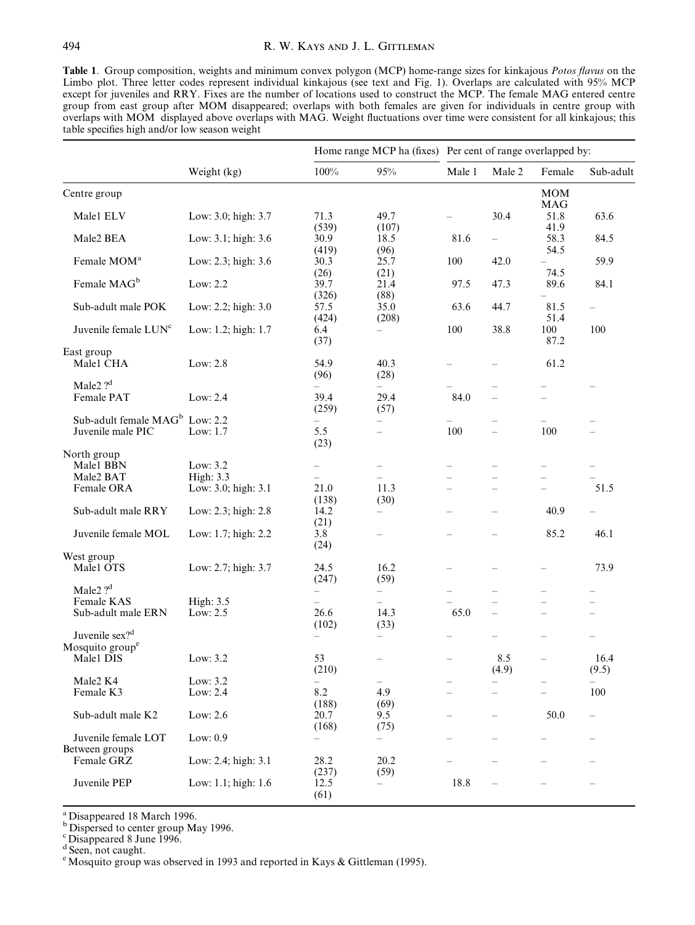Table 1. Group composition, weights and minimum convex polygon (MCP) home-range sizes for kinkajous Potos flavus on the Limbo plot. Three letter codes represent individual kinkajous (see text and Fig. 1). Overlaps are calculated with 95% MCP except for juveniles and RRY. Fixes are the number of locations used to construct the MCP. The female MAG entered centre group from east group after MOM disappeared; overlaps with both females are given for individuals in centre group with overlaps with MOM displayed above overlaps with MAG. Weight fluctuations over time were consistent for all kinkajous; this table specifies high and/or low season weight

|                                                                        | Weight (kg)                                         |                                                                |                                                      |                          | Home range MCP ha (fixes) Per cent of range overlapped by: |                          |                                                      |  |
|------------------------------------------------------------------------|-----------------------------------------------------|----------------------------------------------------------------|------------------------------------------------------|--------------------------|------------------------------------------------------------|--------------------------|------------------------------------------------------|--|
|                                                                        |                                                     | 100%                                                           | $95\%$                                               | Male 1                   | Male 2                                                     | Female                   | Sub-adult                                            |  |
| Centre group                                                           |                                                     |                                                                |                                                      |                          |                                                            | <b>MOM</b><br><b>MAG</b> |                                                      |  |
| Male1 ELV                                                              | Low: 3.0; high: 3.7                                 | 71.3<br>(539)                                                  | 49.7<br>(107)                                        |                          | 30.4                                                       | 51.8<br>41.9             | 63.6                                                 |  |
| Male2 BEA                                                              | Low: 3.1; high: 3.6                                 | 30.9<br>(419)                                                  | 18.5<br>(96)                                         | 81.6                     | $\equiv$                                                   | 58.3<br>54.5             | 84.5                                                 |  |
| Female MOM <sup>a</sup>                                                | Low: 2.3; high: 3.6                                 | 30.3<br>(26)                                                   | 25.7<br>(21)                                         | 100                      | 42.0                                                       | 74.5                     | 59.9                                                 |  |
| Female MAG <sup>b</sup>                                                | Low: 2.2                                            | 39.7<br>(326)                                                  | 21.4<br>(88)                                         | 97.5                     | 47.3                                                       | 89.6                     | 84.1                                                 |  |
| Sub-adult male POK                                                     | Low: 2.2; high: 3.0                                 | 57.5<br>(424)                                                  | 35.0<br>(208)                                        | 63.6                     | 44.7                                                       | 81.5<br>51.4             | $\qquad \qquad -$                                    |  |
| Juvenile female LUN <sup>c</sup>                                       | Low: 1.2; high: 1.7                                 | 6.4<br>(37)                                                    | $\overline{\phantom{0}}$                             | 100                      | 38.8                                                       | 100<br>87.2              | 100                                                  |  |
| East group<br>Male1 CHA                                                | Low: $2.8$                                          | 54.9<br>(96)                                                   | 40.3<br>(28)                                         |                          |                                                            | 61.2                     |                                                      |  |
| Male2 $?^d$<br>Female PAT                                              | Low: 2.4                                            | 39.4<br>(259)                                                  | -<br>29.4<br>(57)                                    | 84.0                     | $\equiv$                                                   | $\equiv$                 |                                                      |  |
| Sub-adult female MAG <sup>b</sup><br>Juvenile male PIC                 | Low: 2.2<br>Low: 1.7                                | $\overline{\phantom{0}}$<br>5.5<br>(23)                        | $\overline{\phantom{0}}$<br>$\equiv$                 | 100                      | $\overline{\phantom{0}}$<br>$\equiv$                       | $\equiv$<br>100          | $\overline{\phantom{0}}$                             |  |
| North group<br>Male1 BBN<br>Male2 BAT<br>Female ORA                    | Low: 3.2<br><b>High: 3.3</b><br>Low: 3.0; high: 3.1 | $\overline{\phantom{0}}$<br>21.0                               | $\qquad \qquad -$<br>11.3                            |                          |                                                            |                          | 51.5                                                 |  |
| Sub-adult male RRY                                                     | Low: 2.3; high: 2.8                                 | (138)<br>14.2                                                  | (30)<br>$\equiv$                                     |                          | $\overline{\phantom{0}}$                                   | 40.9                     |                                                      |  |
| Juvenile female MOL                                                    | Low: 1.7; high: 2.2                                 | (21)<br>3.8<br>(24)                                            |                                                      |                          |                                                            | 85.2                     | 46.1                                                 |  |
| West group<br>Malel OTS                                                | Low: 2.7; high: 3.7                                 | 24.5<br>(247)                                                  | 16.2<br>(59)                                         | $\overline{\phantom{0}}$ |                                                            |                          | 73.9                                                 |  |
| Male2 $?d$<br>Female KAS<br>Sub-adult male ERN                         | High: $3.5$<br>Low: 2.5                             | $\qquad \qquad -$<br>$\overline{\phantom{0}}$<br>26.6<br>(102) | $\overline{\phantom{a}}$<br>14.3<br>(33)             | $\equiv$<br>65.0         | $\overline{\phantom{0}}$<br>$\overline{\phantom{0}}$       | $\equiv$<br>$\equiv$     | $\overline{\phantom{0}}$<br>$\overline{\phantom{0}}$ |  |
| Juvenile sex? <sup>d</sup><br>Mosquito group <sup>e</sup><br>Male1 DIS | Low: $3.2$                                          | $\qquad \qquad -$<br>53                                        | $\overline{\phantom{0}}$<br>$\overline{\phantom{0}}$ | $\overline{\phantom{0}}$ | 8.5                                                        | $\equiv$                 | 16.4                                                 |  |
| Male2 K4<br>Female K3                                                  | Low: 3.2<br>Low: 2.4                                | (210)<br>8.2                                                   | 4.9                                                  | $\overline{\phantom{0}}$ | (4.9)                                                      | $\equiv$                 | (9.5)<br>100                                         |  |
| Sub-adult male K2                                                      | Low: 2.6                                            | (188)<br>20.7<br>(168)                                         | (69)<br>9.5<br>(75)                                  |                          |                                                            | 50.0                     |                                                      |  |
| Juvenile female LOT<br>Between groups                                  | Low: 0.9                                            | $\qquad \qquad -$                                              | -                                                    |                          |                                                            |                          |                                                      |  |
| Female GRZ                                                             | Low: 2.4; high: 3.1                                 | 28.2<br>(237)                                                  | 20.2<br>(59)                                         |                          |                                                            |                          |                                                      |  |
| Juvenile PEP                                                           | Low: 1.1; high: 1.6                                 | 12.5<br>(61)                                                   | ÷                                                    | 18.8                     | $\overline{\phantom{0}}$                                   |                          | $\overline{\phantom{0}}$                             |  |

<sup>a</sup> Disappeared 18 March 1996.

<sup>b</sup> Dispersed to center group May 1996.

<sup>c</sup> Disappeared 8 June 1996.

<sup>d</sup> Seen, not caught.

<sup>e</sup> Mosquito group was observed in 1993 and reported in Kays & Gittleman (1995).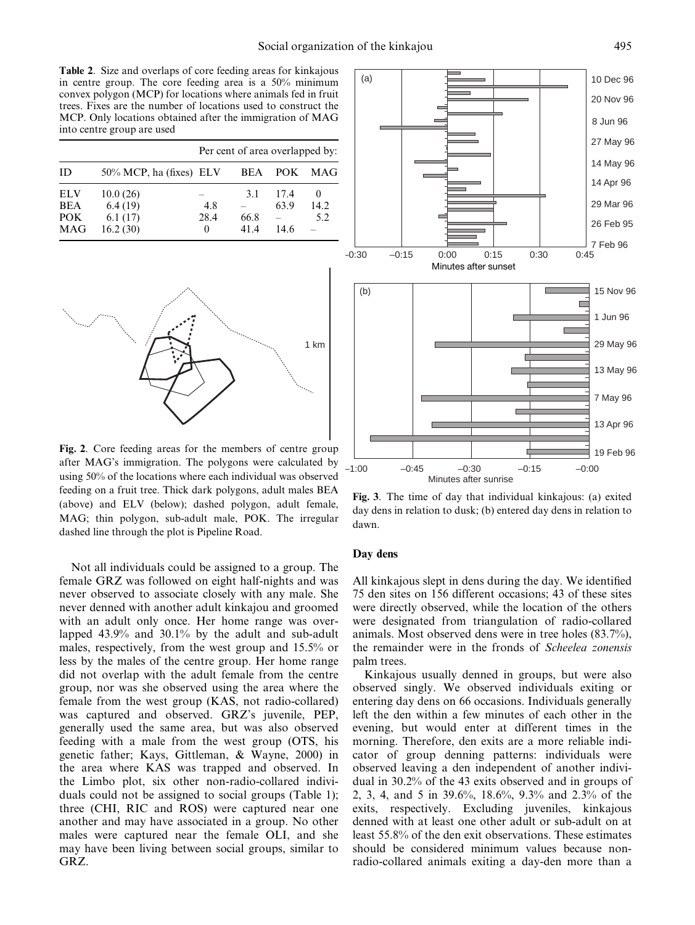Table 2. Size and overlaps of core feeding areas for kinkajous in centre group. The core feeding area is a 50% minimum convex polygon (MCP) for locations where animals fed in fruit trees. Fixes are the number of locations used to construct the MCP. Only locations obtained after the immigration of MAG into centre group are used

|                                                |                                            |                         | Per cent of area overlapped by: |                      |                       |
|------------------------------------------------|--------------------------------------------|-------------------------|---------------------------------|----------------------|-----------------------|
| ID                                             | $50\%$ MCP, ha (fixes) ELV                 |                         | BEA                             | POK                  | MAG                   |
| <b>ELV</b><br><b>BEA</b><br>POK.<br><b>MAG</b> | 10.0(26)<br>6.4(19)<br>6.1(17)<br>16.2(30) | 4.8<br>28.4<br>$\Omega$ | 3.1<br>66.8<br>414              | 17.4<br>63.9<br>14.6 | $_{0}$<br>14.2<br>5.2 |



Fig. 2. Core feeding areas for the members of centre group after MAG's immigration. The polygons were calculated by using 50% of the locations where each individual was observed feeding on a fruit tree. Thick dark polygons, adult males BEA (above) and ELV (below); dashed polygon, adult female, MAG; thin polygon, sub-adult male, POK. The irregular dashed line through the plot is Pipeline Road.

Not all individuals could be assigned to a group. The female GRZ was followed on eight half-nights and was never observed to associate closely with any male. She never denned with another adult kinkajou and groomed with an adult only once. Her home range was overlapped 43.9% and 30.1% by the adult and sub-adult males, respectively, from the west group and 15.5% or less by the males of the centre group. Her home range did not overlap with the adult female from the centre group, nor was she observed using the area where the female from the west group (KAS, not radio-collared) was captured and observed. GRZ's juvenile, PEP, generally used the same area, but was also observed feeding with a male from the west group (OTS, his genetic father; Kays, Gittleman, & Wayne, 2000) in the area where KAS was trapped and observed. In the Limbo plot, six other non-radio-collared individuals could not be assigned to social groups (Table 1); three (CHI, RIC and ROS) were captured near one another and may have associated in a group. No other males were captured near the female OLI, and she may have been living between social groups, similar to GRZ.



Fig. 3. The time of day that individual kinkajous: (a) exited day dens in relation to dusk; (b) entered day dens in relation to dawn.

# Day dens

All kinkajous slept in dens during the day. We identified 75 den sites on 156 different occasions; 43 of these sites were directly observed, while the location of the others were designated from triangulation of radio-collared animals. Most observed dens were in tree holes (83.7%), the remainder were in the fronds of Scheelea zonensis palm trees.

Kinkajous usually denned in groups, but were also observed singly. We observed individuals exiting or entering day dens on 66 occasions. Individuals generally left the den within a few minutes of each other in the evening, but would enter at different times in the morning. Therefore, den exits are a more reliable indicator of group denning patterns: individuals were observed leaving a den independent of another individual in 30.2% of the 43 exits observed and in groups of 2, 3, 4, and 5 in 39.6%, 18.6%, 9.3% and 2.3% of the exits, respectively. Excluding juveniles, kinkajous denned with at least one other adult or sub-adult on at least 55.8% of the den exit observations. These estimates should be considered minimum values because nonradio-collared animals exiting a day-den more than a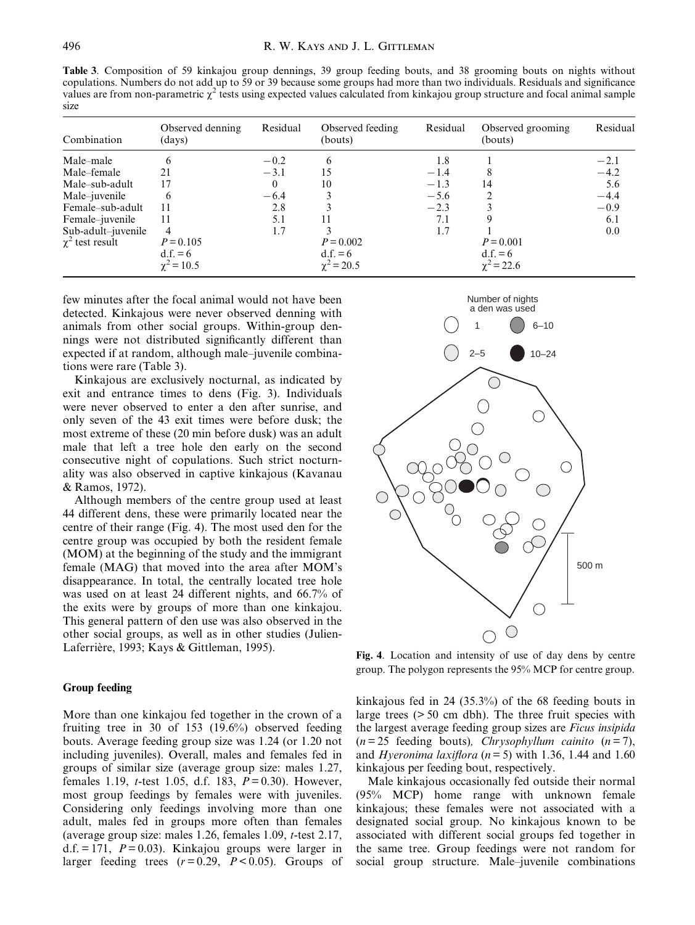Table 3. Composition of 59 kinkajou group dennings, 39 group feeding bouts, and 38 grooming bouts on nights without copulations. Numbers do not add up to 59 or 39 because some groups had more than two individuals. Residuals and significance values are from non-parametric  $\chi^2$  tests using expected values calculated from kinkajou group structure and focal animal sample size

| Combination          | Observed denning<br>(days) | Residual | Observed feeding<br>(bouts) | Residual | Observed grooming<br>(bouts) | Residual |
|----------------------|----------------------------|----------|-----------------------------|----------|------------------------------|----------|
| Male-male            |                            | $-0.2$   | 6                           | 1.8      |                              | $-2.1$   |
| Male–female          | 21                         | $-3.1$   | 15                          | $-1.4$   |                              | $-4.2$   |
| Male-sub-adult       | 17                         |          | 10                          | $-1.3$   | 14                           | 5.6      |
| Male-juvenile        | 6                          | $-6.4$   |                             | $-5.6$   |                              | $-4.4$   |
| Female–sub-adult     | 11                         | 2.8      |                             | $-2.3$   |                              | $-0.9$   |
| Female-juvenile      | 11                         | 5.1      | 11                          | 7.1      | 9                            | 6.1      |
| Sub-adult-juvenile   | 4                          | 1.7      |                             | 1.7      |                              | 0.0      |
| $\chi^2$ test result | $P = 0.105$                |          | $P = 0.002$                 |          | $P = 0.001$                  |          |
|                      | $d.f. = 6$                 |          | $d.f. = 6$                  |          | $d.f. = 6$                   |          |
|                      | $\chi^2$ = 10.5            |          | $\chi^2$ = 20.5             |          | $\chi^2$ = 22.6              |          |

few minutes after the focal animal would not have been detected. Kinkajous were never observed denning with animals from other social groups. Within-group dennings were not distributed significantly different than expected if at random, although male-juvenile combinations were rare (Table 3).

Kinkajous are exclusively nocturnal, as indicated by exit and entrance times to dens (Fig. 3). Individuals were never observed to enter a den after sunrise, and only seven of the 43 exit times were before dusk; the most extreme of these (20 min before dusk) was an adult male that left a tree hole den early on the second consecutive night of copulations. Such strict nocturnality was also observed in captive kinkajous (Kavanau & Ramos, 1972).

Although members of the centre group used at least 44 different dens, these were primarily located near the centre of their range (Fig. 4). The most used den for the centre group was occupied by both the resident female (MOM) at the beginning of the study and the immigrant female (MAG) that moved into the area after MOM's disappearance. In total, the centrally located tree hole was used on at least 24 different nights, and 66.7% of the exits were by groups of more than one kinkajou. This general pattern of den use was also observed in the other social groups, as well as in other studies (Julien-Laferrière, 1993; Kays & Gittleman, 1995).

### Group feeding

More than one kinkajou fed together in the crown of a fruiting tree in 30 of 153 (19.6%) observed feeding bouts. Average feeding group size was 1.24 (or 1.20 not including juveniles). Overall, males and females fed in groups of similar size (average group size: males 1.27, females 1.19, *t*-test 1.05, d.f. 183,  $P = 0.30$ ). However, most group feedings by females were with juveniles. Considering only feedings involving more than one adult, males fed in groups more often than females (average group size: males 1.26, females 1.09, t-test 2.17,  $d.f. = 171$ ,  $P = 0.03$ ). Kinkajou groups were larger in larger feeding trees  $(r=0.29, P<0.05)$ . Groups of



Fig. 4. Location and intensity of use of day dens by centre group. The polygon represents the 95% MCP for centre group.

kinkajous fed in 24 (35.3%) of the 68 feeding bouts in large trees (> 50 cm dbh). The three fruit species with the largest average feeding group sizes are Ficus insipida  $(n=25$  feeding bouts), Chrysophyllum cainito  $(n=7)$ , and *Hyeronima laxiflora* ( $n=5$ ) with 1.36, 1.44 and 1.60 kinkajous per feeding bout, respectively.

Male kinkajous occasionally fed outside their normal (95% MCP) home range with unknown female kinkajous; these females were not associated with a designated social group. No kinkajous known to be associated with different social groups fed together in the same tree. Group feedings were not random for social group structure. Male-juvenile combinations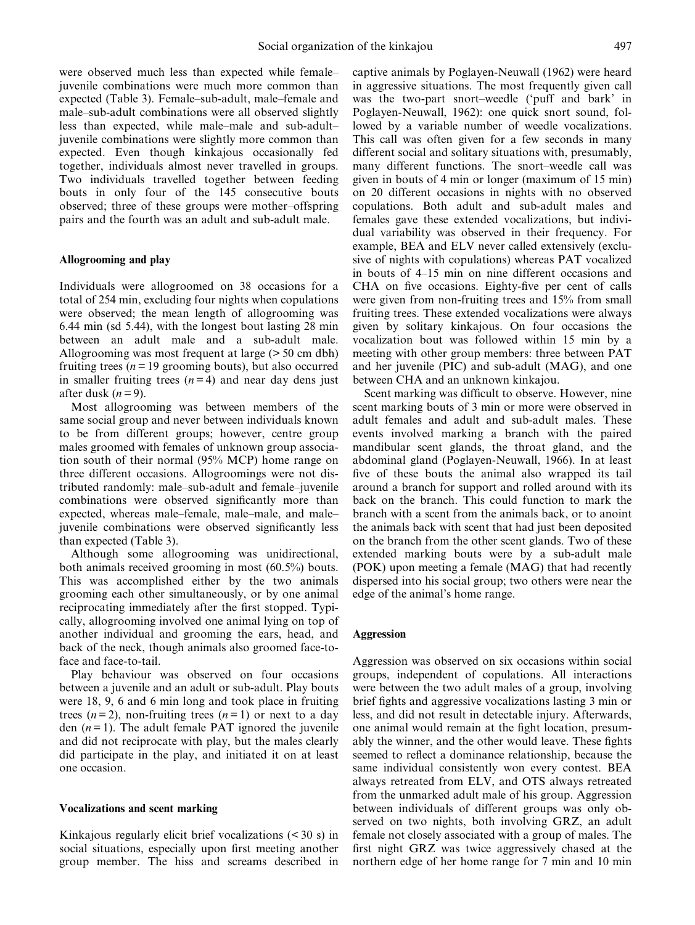were observed much less than expected while femalejuvenile combinations were much more common than expected (Table 3). Female–sub-adult, male–female and male-sub-adult combinations were all observed slightly less than expected, while male—male and sub-adult juvenile combinations were slightly more common than expected. Even though kinkajous occasionally fed together, individuals almost never travelled in groups. Two individuals travelled together between feeding bouts in only four of the 145 consecutive bouts observed; three of these groups were mother-offspring pairs and the fourth was an adult and sub-adult male.

# Allogrooming and play

Individuals were allogroomed on 38 occasions for a total of 254 min, excluding four nights when copulations were observed; the mean length of allogrooming was 6.44 min (sd 5.44), with the longest bout lasting 28 min between an adult male and a sub-adult male. Allogrooming was most frequent at large (> 50 cm dbh) fruiting trees ( $n = 19$  grooming bouts), but also occurred in smaller fruiting trees  $(n=4)$  and near day dens just after dusk  $(n=9)$ .

Most allogrooming was between members of the same social group and never between individuals known to be from different groups; however, centre group males groomed with females of unknown group association south of their normal (95% MCP) home range on three different occasions. Allogroomings were not distributed randomly: male-sub-adult and female-juvenile combinations were observed significantly more than expected, whereas male-female, male-male, and malejuvenile combinations were observed significantly less than expected (Table 3).

Although some allogrooming was unidirectional, both animals received grooming in most (60.5%) bouts. This was accomplished either by the two animals grooming each other simultaneously, or by one animal reciprocating immediately after the first stopped. Typically, allogrooming involved one animal lying on top of another individual and grooming the ears, head, and back of the neck, though animals also groomed face-toface and face-to-tail.

Play behaviour was observed on four occasions between a juvenile and an adult or sub-adult. Play bouts were 18, 9, 6 and 6 min long and took place in fruiting trees  $(n=2)$ , non-fruiting trees  $(n=1)$  or next to a day den  $(n=1)$ . The adult female PAT ignored the juvenile and did not reciprocate with play, but the males clearly did participate in the play, and initiated it on at least one occasion.

#### Vocalizations and scent marking

Kinkajous regularly elicit brief vocalizations (< 30 s) in social situations, especially upon first meeting another group member. The hiss and screams described in captive animals by Poglayen-Neuwall (1962) were heard in aggressive situations. The most frequently given call was the two-part snort-weedle ('puff and bark' in Poglayen-Neuwall, 1962): one quick snort sound, followed by a variable number of weedle vocalizations. This call was often given for a few seconds in many different social and solitary situations with, presumably, many different functions. The snort-weedle call was given in bouts of 4 min or longer (maximum of 15 min) on 20 different occasions in nights with no observed copulations. Both adult and sub-adult males and females gave these extended vocalizations, but individual variability was observed in their frequency. For example, BEA and ELV never called extensively (exclusive of nights with copulations) whereas PAT vocalized in bouts of 4–15 min on nine different occasions and CHA on five occasions. Eighty-five per cent of calls were given from non-fruiting trees and 15% from small fruiting trees. These extended vocalizations were always given by solitary kinkajous. On four occasions the vocalization bout was followed within 15 min by a meeting with other group members: three between PAT and her juvenile (PIC) and sub-adult (MAG), and one between CHA and an unknown kinkajou.

Scent marking was difficult to observe. However, nine scent marking bouts of 3 min or more were observed in adult females and adult and sub-adult males. These events involved marking a branch with the paired mandibular scent glands, the throat gland, and the abdominal gland (Poglayen-Neuwall, 1966). In at least five of these bouts the animal also wrapped its tail around a branch for support and rolled around with its back on the branch. This could function to mark the branch with a scent from the animals back, or to anoint the animals back with scent that had just been deposited on the branch from the other scent glands. Two of these extended marking bouts were by a sub-adult male (POK) upon meeting a female (MAG) that had recently dispersed into his social group; two others were near the edge of the animal's home range.

#### Aggression

Aggression was observed on six occasions within social groups, independent of copulations. All interactions were between the two adult males of a group, involving brief fights and aggressive vocalizations lasting 3 min or less, and did not result in detectable injury. Afterwards, one animal would remain at the fight location, presumably the winner, and the other would leave. These fights seemed to reflect a dominance relationship, because the same individual consistently won every contest. BEA always retreated from ELV, and OTS always retreated from the unmarked adult male of his group. Aggression between individuals of different groups was only observed on two nights, both involving GRZ, an adult female not closely associated with a group of males. The first night GRZ was twice aggressively chased at the northern edge of her home range for 7 min and 10 min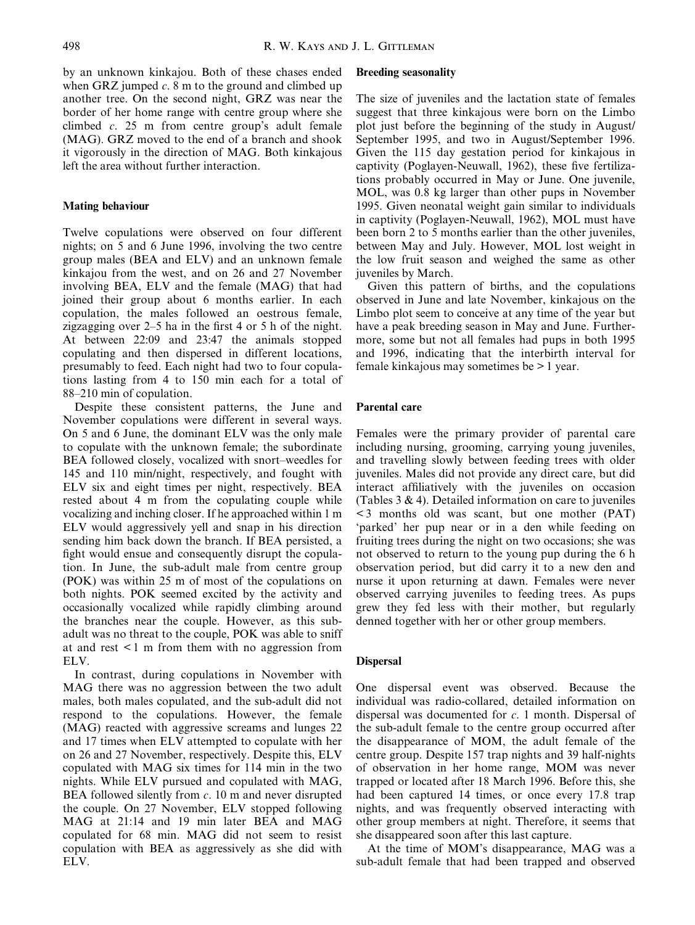by an unknown kinkajou. Both of these chases ended when GRZ jumped  $c$ . 8 m to the ground and climbed up another tree. On the second night, GRZ was near the border of her home range with centre group where she climbed c. 25 m from centre group's adult female (MAG). GRZ moved to the end of a branch and shook it vigorously in the direction of MAG. Both kinkajous left the area without further interaction.

# Mating behaviour

Twelve copulations were observed on four different nights; on 5 and 6 June 1996, involving the two centre group males (BEA and ELV) and an unknown female kinkajou from the west, and on 26 and 27 November involving BEA, ELV and the female (MAG) that had joined their group about 6 months earlier. In each copulation, the males followed an oestrous female, zigzagging over  $2-5$  ha in the first 4 or 5 h of the night. At between 22:09 and 23:47 the animals stopped copulating and then dispersed in different locations, presumably to feed. Each night had two to four copulations lasting from 4 to 150 min each for a total of 88–210 min of copulation.

Despite these consistent patterns, the June and November copulations were different in several ways. On 5 and 6 June, the dominant ELV was the only male to copulate with the unknown female; the subordinate BEA followed closely, vocalized with snort-weedles for 145 and 110 min/night, respectively, and fought with ELV six and eight times per night, respectively. BEA rested about 4 m from the copulating couple while vocalizing and inching closer. If he approached within 1 m ELV would aggressively yell and snap in his direction sending him back down the branch. If BEA persisted, a fight would ensue and consequently disrupt the copulation. In June, the sub-adult male from centre group (POK) was within 25 m of most of the copulations on both nights. POK seemed excited by the activity and occasionally vocalized while rapidly climbing around the branches near the couple. However, as this subadult was no threat to the couple, POK was able to sniff at and rest < 1 m from them with no aggression from ELV.

In contrast, during copulations in November with MAG there was no aggression between the two adult males, both males copulated, and the sub-adult did not respond to the copulations. However, the female (MAG) reacted with aggressive screams and lunges 22 and 17 times when ELV attempted to copulate with her on 26 and 27 November, respectively. Despite this, ELV copulated with MAG six times for 114 min in the two nights. While ELV pursued and copulated with MAG, BEA followed silently from  $c$ . 10 m and never disrupted the couple. On 27 November, ELV stopped following MAG at 21:14 and 19 min later BEA and MAG copulated for 68 min. MAG did not seem to resist copulation with BEA as aggressively as she did with ELV.

# Breeding seasonality

The size of juveniles and the lactation state of females suggest that three kinkajous were born on the Limbo plot just before the beginning of the study in August/ September 1995, and two in August/September 1996. Given the 115 day gestation period for kinkajous in captivity (Poglayen-Neuwall, 1962), these five fertilizations probably occurred in May or June. One juvenile, MOL, was 0.8 kg larger than other pups in November 1995. Given neonatal weight gain similar to individuals in captivity (Poglayen-Neuwall, 1962), MOL must have been born 2 to 5 months earlier than the other juveniles, between May and July. However, MOL lost weight in the low fruit season and weighed the same as other juveniles by March.

Given this pattern of births, and the copulations observed in June and late November, kinkajous on the Limbo plot seem to conceive at any time of the year but have a peak breeding season in May and June. Furthermore, some but not all females had pups in both 1995 and 1996, indicating that the interbirth interval for female kinkajous may sometimes be > 1 year.

# Parental care

Females were the primary provider of parental care including nursing, grooming, carrying young juveniles, and travelling slowly between feeding trees with older juveniles. Males did not provide any direct care, but did interact affiliatively with the juveniles on occasion (Tables  $3 \& 4$ ). Detailed information on care to juveniles < 3 months old was scant, but one mother (PAT) `parked' her pup near or in a den while feeding on fruiting trees during the night on two occasions; she was not observed to return to the young pup during the 6 h observation period, but did carry it to a new den and nurse it upon returning at dawn. Females were never observed carrying juveniles to feeding trees. As pups grew they fed less with their mother, but regularly denned together with her or other group members.

## Dispersal

One dispersal event was observed. Because the individual was radio-collared, detailed information on dispersal was documented for c. 1 month. Dispersal of the sub-adult female to the centre group occurred after the disappearance of MOM, the adult female of the centre group. Despite 157 trap nights and 39 half-nights of observation in her home range, MOM was never trapped or located after 18 March 1996. Before this, she had been captured 14 times, or once every 17.8 trap nights, and was frequently observed interacting with other group members at night. Therefore, it seems that she disappeared soon after this last capture.

At the time of MOM's disappearance, MAG was a sub-adult female that had been trapped and observed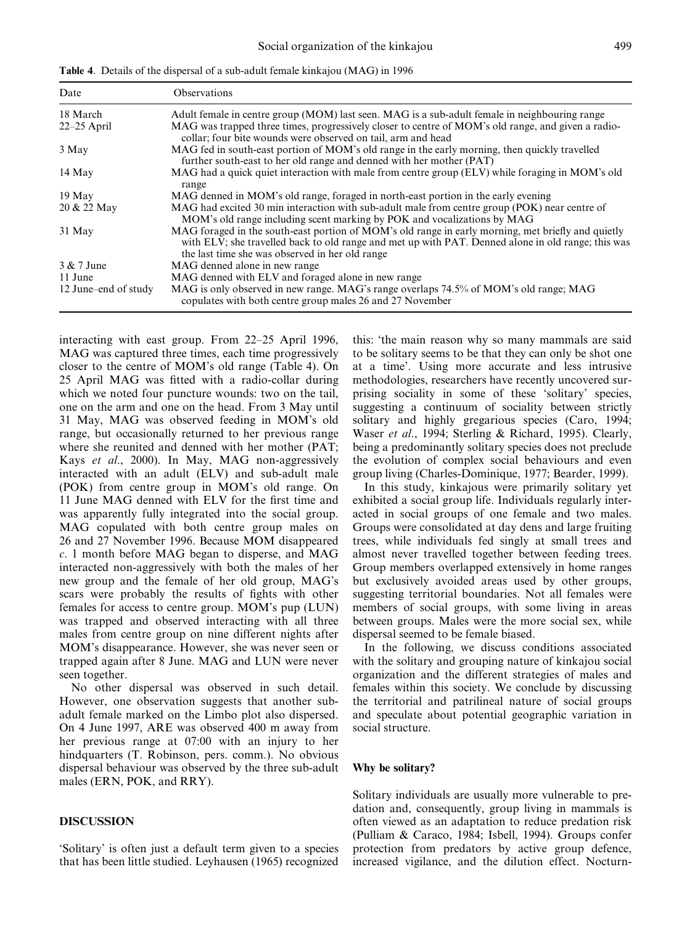| Date                 | <b>Observations</b>                                                                                                                                                                                                                                         |
|----------------------|-------------------------------------------------------------------------------------------------------------------------------------------------------------------------------------------------------------------------------------------------------------|
| 18 March             | Adult female in centre group (MOM) last seen. MAG is a sub-adult female in neighbouring range                                                                                                                                                               |
| $22-25$ April        | MAG was trapped three times, progressively closer to centre of MOM's old range, and given a radio-<br>collar; four bite wounds were observed on tail, arm and head                                                                                          |
| 3 May                | MAG fed in south-east portion of MOM's old range in the early morning, then quickly travelled<br>further south-east to her old range and denned with her mother (PAT)                                                                                       |
| 14 May               | MAG had a quick quiet interaction with male from centre group (ELV) while foraging in MOM's old<br>range                                                                                                                                                    |
| 19 May               | MAG denned in MOM's old range, foraged in north-east portion in the early evening                                                                                                                                                                           |
| 20 & 22 May          | MAG had excited 30 min interaction with sub-adult male from centre group (POK) near centre of<br>MOM's old range including scent marking by POK and vocalizations by MAG                                                                                    |
| 31 May               | MAG foraged in the south-east portion of MOM's old range in early morning, met briefly and quietly<br>with ELV; she travelled back to old range and met up with PAT. Denned alone in old range; this was<br>the last time she was observed in her old range |
| 3 & 7 June           | MAG denned alone in new range                                                                                                                                                                                                                               |
| 11 June              | MAG denned with ELV and foraged alone in new range                                                                                                                                                                                                          |
| 12 June-end of study | MAG is only observed in new range. MAG's range overlaps 74.5% of MOM's old range; MAG<br>copulates with both centre group males 26 and 27 November                                                                                                          |

interacting with east group. From  $22-25$  April 1996, MAG was captured three times, each time progressively closer to the centre of MOM's old range (Table 4). On 25 April MAG was fitted with a radio-collar during which we noted four puncture wounds: two on the tail, one on the arm and one on the head. From 3 May until 31 May, MAG was observed feeding in MOM's old range, but occasionally returned to her previous range where she reunited and denned with her mother (PAT; Kays et al., 2000). In May, MAG non-aggressively interacted with an adult (ELV) and sub-adult male (POK) from centre group in MOM's old range. On 11 June MAG denned with ELV for the first time and was apparently fully integrated into the social group. MAG copulated with both centre group males on 26 and 27 November 1996. Because MOM disappeared c. 1 month before MAG began to disperse, and MAG interacted non-aggressively with both the males of her new group and the female of her old group, MAG's scars were probably the results of fights with other females for access to centre group. MOM's pup (LUN) was trapped and observed interacting with all three males from centre group on nine different nights after MOM's disappearance. However, she was never seen or trapped again after 8 June. MAG and LUN were never seen together.

No other dispersal was observed in such detail. However, one observation suggests that another subadult female marked on the Limbo plot also dispersed. On 4 June 1997, ARE was observed 400 m away from her previous range at 07:00 with an injury to her hindquarters (T. Robinson, pers. comm.). No obvious dispersal behaviour was observed by the three sub-adult males (ERN, POK, and RRY).

# DISCUSSION

`Solitary' is often just a default term given to a species that has been little studied. Leyhausen (1965) recognized this: `the main reason why so many mammals are said to be solitary seems to be that they can only be shot one at a time'. Using more accurate and less intrusive methodologies, researchers have recently uncovered surprising sociality in some of these `solitary' species, suggesting a continuum of sociality between strictly solitary and highly gregarious species (Caro, 1994; Waser et al., 1994; Sterling & Richard, 1995). Clearly, being a predominantly solitary species does not preclude the evolution of complex social behaviours and even group living (Charles-Dominique, 1977; Bearder, 1999).

In this study, kinkajous were primarily solitary yet exhibited a social group life. Individuals regularly interacted in social groups of one female and two males. Groups were consolidated at day dens and large fruiting trees, while individuals fed singly at small trees and almost never travelled together between feeding trees. Group members overlapped extensively in home ranges but exclusively avoided areas used by other groups, suggesting territorial boundaries. Not all females were members of social groups, with some living in areas between groups. Males were the more social sex, while dispersal seemed to be female biased.

In the following, we discuss conditions associated with the solitary and grouping nature of kinkajou social organization and the different strategies of males and females within this society. We conclude by discussing the territorial and patrilineal nature of social groups and speculate about potential geographic variation in social structure.

#### Why be solitary?

Solitary individuals are usually more vulnerable to predation and, consequently, group living in mammals is often viewed as an adaptation to reduce predation risk (Pulliam & Caraco, 1984; Isbell, 1994). Groups confer protection from predators by active group defence, increased vigilance, and the dilution effect. Nocturn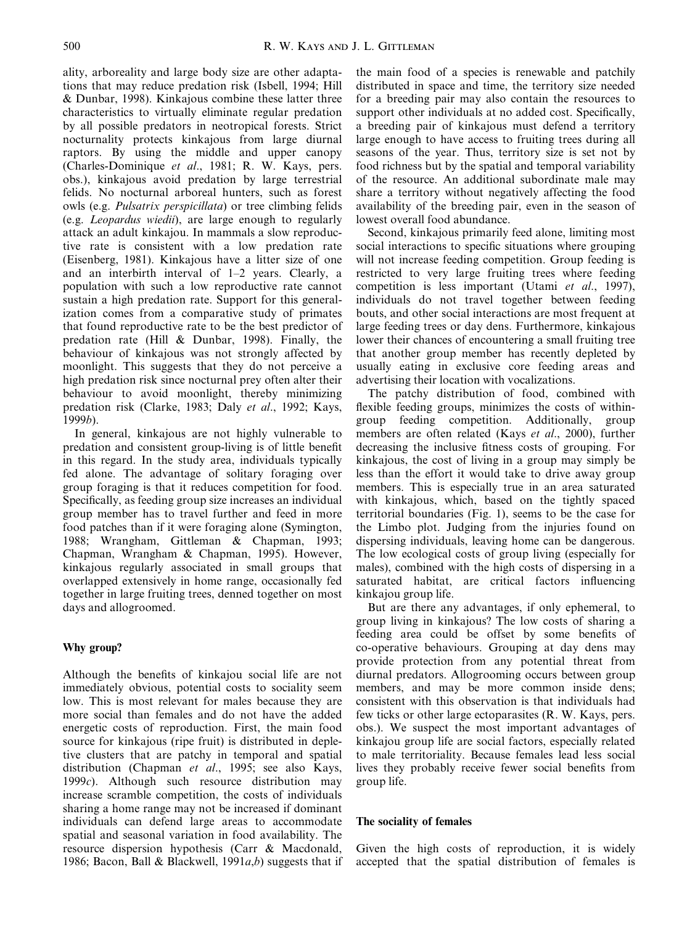ality, arboreality and large body size are other adaptations that may reduce predation risk (Isbell, 1994; Hill & Dunbar, 1998). Kinkajous combine these latter three characteristics to virtually eliminate regular predation by all possible predators in neotropical forests. Strict nocturnality protects kinkajous from large diurnal raptors. By using the middle and upper canopy (Charles-Dominique et al., 1981; R. W. Kays, pers. obs.), kinkajous avoid predation by large terrestrial felids. No nocturnal arboreal hunters, such as forest owls (e.g. Pulsatrix perspicillata) or tree climbing felids (e.g. Leopardus wiedii), are large enough to regularly attack an adult kinkajou. In mammals a slow reproductive rate is consistent with a low predation rate (Eisenberg, 1981). Kinkajous have a litter size of one and an interbirth interval of  $1-2$  years. Clearly, a population with such a low reproductive rate cannot sustain a high predation rate. Support for this generalization comes from a comparative study of primates that found reproductive rate to be the best predictor of predation rate (Hill & Dunbar, 1998). Finally, the behaviour of kinkajous was not strongly affected by moonlight. This suggests that they do not perceive a high predation risk since nocturnal prey often alter their behaviour to avoid moonlight, thereby minimizing predation risk (Clarke, 1983; Daly et al., 1992; Kays, 1999b).

In general, kinkajous are not highly vulnerable to predation and consistent group-living is of little benefit in this regard. In the study area, individuals typically fed alone. The advantage of solitary foraging over group foraging is that it reduces competition for food. Specifically, as feeding group size increases an individual group member has to travel further and feed in more food patches than if it were foraging alone (Symington, 1988; Wrangham, Gittleman & Chapman, 1993; Chapman, Wrangham & Chapman, 1995). However, kinkajous regularly associated in small groups that overlapped extensively in home range, occasionally fed together in large fruiting trees, denned together on most days and allogroomed.

# Why group?

Although the benefits of kinkajou social life are not immediately obvious, potential costs to sociality seem low. This is most relevant for males because they are more social than females and do not have the added energetic costs of reproduction. First, the main food source for kinkajous (ripe fruit) is distributed in depletive clusters that are patchy in temporal and spatial distribution (Chapman et al., 1995; see also Kays, 1999 $c$ ). Although such resource distribution may increase scramble competition, the costs of individuals sharing a home range may not be increased if dominant individuals can defend large areas to accommodate spatial and seasonal variation in food availability. The resource dispersion hypothesis (Carr & Macdonald, 1986; Bacon, Ball & Blackwell, 1991 $a,b$ ) suggests that if

the main food of a species is renewable and patchily distributed in space and time, the territory size needed for a breeding pair may also contain the resources to support other individuals at no added cost. Specifically, a breeding pair of kinkajous must defend a territory large enough to have access to fruiting trees during all seasons of the year. Thus, territory size is set not by food richness but by the spatial and temporal variability of the resource. An additional subordinate male may share a territory without negatively affecting the food availability of the breeding pair, even in the season of lowest overall food abundance.

Second, kinkajous primarily feed alone, limiting most social interactions to specific situations where grouping will not increase feeding competition. Group feeding is restricted to very large fruiting trees where feeding competition is less important (Utami et al., 1997), individuals do not travel together between feeding bouts, and other social interactions are most frequent at large feeding trees or day dens. Furthermore, kinkajous lower their chances of encountering a small fruiting tree that another group member has recently depleted by usually eating in exclusive core feeding areas and advertising their location with vocalizations.

The patchy distribution of food, combined with flexible feeding groups, minimizes the costs of withingroup feeding competition. Additionally, group members are often related (Kays et al., 2000), further decreasing the inclusive fitness costs of grouping. For kinkajous, the cost of living in a group may simply be less than the effort it would take to drive away group members. This is especially true in an area saturated with kinkajous, which, based on the tightly spaced territorial boundaries (Fig. 1), seems to be the case for the Limbo plot. Judging from the injuries found on dispersing individuals, leaving home can be dangerous. The low ecological costs of group living (especially for males), combined with the high costs of dispersing in a saturated habitat, are critical factors influencing kinkajou group life.

But are there any advantages, if only ephemeral, to group living in kinkajous? The low costs of sharing a feeding area could be offset by some benefits of co-operative behaviours. Grouping at day dens may provide protection from any potential threat from diurnal predators. Allogrooming occurs between group members, and may be more common inside dens; consistent with this observation is that individuals had few ticks or other large ectoparasites (R. W. Kays, pers. obs.). We suspect the most important advantages of kinkajou group life are social factors, especially related to male territoriality. Because females lead less social lives they probably receive fewer social benefits from group life.

# The sociality of females

Given the high costs of reproduction, it is widely accepted that the spatial distribution of females is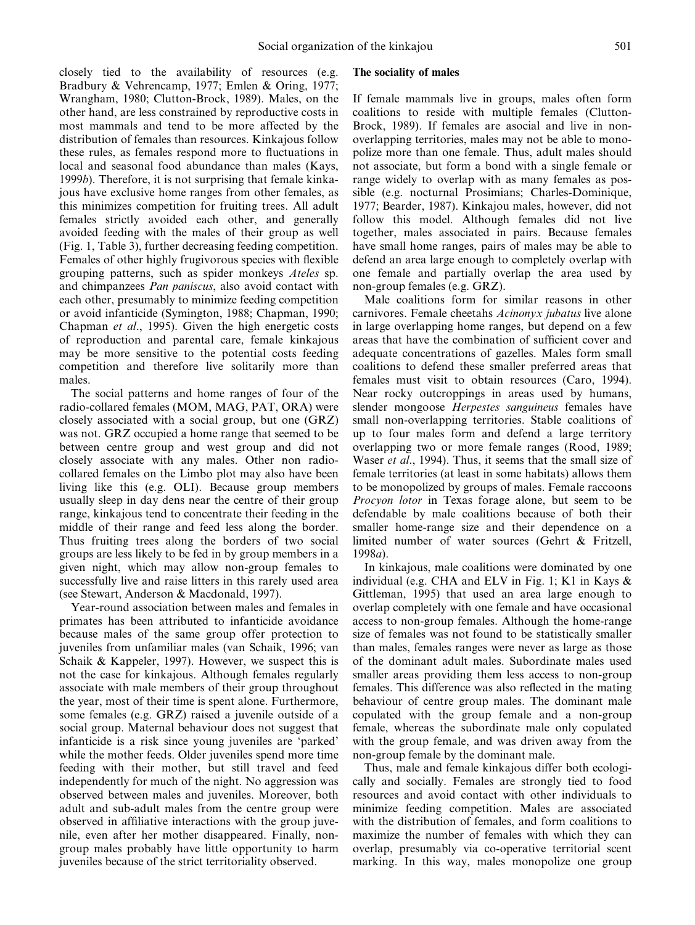closely tied to the availability of resources (e.g. Bradbury & Vehrencamp, 1977; Emlen & Oring, 1977; Wrangham, 1980; Clutton-Brock, 1989). Males, on the other hand, are less constrained by reproductive costs in most mammals and tend to be more affected by the distribution of females than resources. Kinkajous follow these rules, as females respond more to fluctuations in local and seasonal food abundance than males (Kays, 1999b). Therefore, it is not surprising that female kinkajous have exclusive home ranges from other females, as this minimizes competition for fruiting trees. All adult females strictly avoided each other, and generally avoided feeding with the males of their group as well (Fig. 1, Table 3), further decreasing feeding competition. Females of other highly frugivorous species with flexible grouping patterns, such as spider monkeys Ateles sp. and chimpanzees Pan paniscus, also avoid contact with each other, presumably to minimize feeding competition or avoid infanticide (Symington, 1988; Chapman, 1990; Chapman et al., 1995). Given the high energetic costs of reproduction and parental care, female kinkajous may be more sensitive to the potential costs feeding competition and therefore live solitarily more than males.

The social patterns and home ranges of four of the radio-collared females (MOM, MAG, PAT, ORA) were closely associated with a social group, but one (GRZ) was not. GRZ occupied a home range that seemed to be between centre group and west group and did not closely associate with any males. Other non radiocollared females on the Limbo plot may also have been living like this (e.g. OLI). Because group members usually sleep in day dens near the centre of their group range, kinkajous tend to concentrate their feeding in the middle of their range and feed less along the border. Thus fruiting trees along the borders of two social groups are less likely to be fed in by group members in a given night, which may allow non-group females to successfully live and raise litters in this rarely used area (see Stewart, Anderson & Macdonald, 1997).

Year-round association between males and females in primates has been attributed to infanticide avoidance because males of the same group offer protection to juveniles from unfamiliar males (van Schaik, 1996; van Schaik & Kappeler, 1997). However, we suspect this is not the case for kinkajous. Although females regularly associate with male members of their group throughout the year, most of their time is spent alone. Furthermore, some females (e.g. GRZ) raised a juvenile outside of a social group. Maternal behaviour does not suggest that infanticide is a risk since young juveniles are `parked' while the mother feeds. Older juveniles spend more time feeding with their mother, but still travel and feed independently for much of the night. No aggression was observed between males and juveniles. Moreover, both adult and sub-adult males from the centre group were observed in affiliative interactions with the group juvenile, even after her mother disappeared. Finally, nongroup males probably have little opportunity to harm juveniles because of the strict territoriality observed.

#### The sociality of males

If female mammals live in groups, males often form coalitions to reside with multiple females (Clutton-Brock, 1989). If females are asocial and live in nonoverlapping territories, males may not be able to monopolize more than one female. Thus, adult males should not associate, but form a bond with a single female or range widely to overlap with as many females as possible (e.g. nocturnal Prosimians; Charles-Dominique, 1977; Bearder, 1987). Kinkajou males, however, did not follow this model. Although females did not live together, males associated in pairs. Because females have small home ranges, pairs of males may be able to defend an area large enough to completely overlap with one female and partially overlap the area used by non-group females (e.g. GRZ).

Male coalitions form for similar reasons in other carnivores. Female cheetahs Acinonyx jubatus live alone in large overlapping home ranges, but depend on a few areas that have the combination of sufficient cover and adequate concentrations of gazelles. Males form small coalitions to defend these smaller preferred areas that females must visit to obtain resources (Caro, 1994). Near rocky outcroppings in areas used by humans, slender mongoose Herpestes sanguineus females have small non-overlapping territories. Stable coalitions of up to four males form and defend a large territory overlapping two or more female ranges (Rood, 1989; Waser *et al.*, 1994). Thus, it seems that the small size of female territories (at least in some habitats) allows them to be monopolized by groups of males. Female raccoons Procyon lotor in Texas forage alone, but seem to be defendable by male coalitions because of both their smaller home-range size and their dependence on a limited number of water sources (Gehrt & Fritzell, 1998a).

In kinkajous, male coalitions were dominated by one individual (e.g. CHA and ELV in Fig. 1; K1 in Kays & Gittleman, 1995) that used an area large enough to overlap completely with one female and have occasional access to non-group females. Although the home-range size of females was not found to be statistically smaller than males, females ranges were never as large as those of the dominant adult males. Subordinate males used smaller areas providing them less access to non-group females. This difference was also reflected in the mating behaviour of centre group males. The dominant male copulated with the group female and a non-group female, whereas the subordinate male only copulated with the group female, and was driven away from the non-group female by the dominant male.

Thus, male and female kinkajous differ both ecologically and socially. Females are strongly tied to food resources and avoid contact with other individuals to minimize feeding competition. Males are associated with the distribution of females, and form coalitions to maximize the number of females with which they can overlap, presumably via co-operative territorial scent marking. In this way, males monopolize one group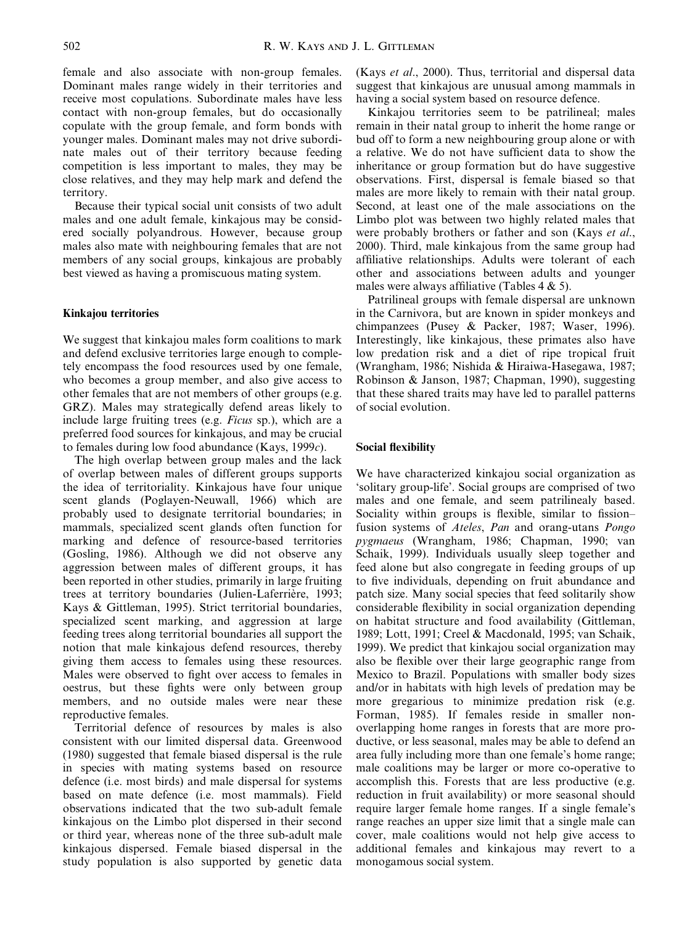female and also associate with non-group females. Dominant males range widely in their territories and receive most copulations. Subordinate males have less contact with non-group females, but do occasionally copulate with the group female, and form bonds with younger males. Dominant males may not drive subordinate males out of their territory because feeding competition is less important to males, they may be close relatives, and they may help mark and defend the territory.

Because their typical social unit consists of two adult males and one adult female, kinkajous may be considered socially polyandrous. However, because group males also mate with neighbouring females that are not members of any social groups, kinkajous are probably best viewed as having a promiscuous mating system.

# Kinkajou territories

We suggest that kinkajou males form coalitions to mark and defend exclusive territories large enough to completely encompass the food resources used by one female, who becomes a group member, and also give access to other females that are not members of other groups (e.g. GRZ). Males may strategically defend areas likely to include large fruiting trees (e.g. Ficus sp.), which are a preferred food sources for kinkajous, and may be crucial to females during low food abundance (Kays, 1999 $c$ ).

The high overlap between group males and the lack of overlap between males of different groups supports the idea of territoriality. Kinkajous have four unique scent glands (Poglayen-Neuwall, 1966) which are probably used to designate territorial boundaries; in mammals, specialized scent glands often function for marking and defence of resource-based territories (Gosling, 1986). Although we did not observe any aggression between males of different groups, it has been reported in other studies, primarily in large fruiting trees at territory boundaries (Julien-Laferrière, 1993; Kays & Gittleman, 1995). Strict territorial boundaries, specialized scent marking, and aggression at large feeding trees along territorial boundaries all support the notion that male kinkajous defend resources, thereby giving them access to females using these resources. Males were observed to fight over access to females in oestrus, but these fights were only between group members, and no outside males were near these reproductive females.

Territorial defence of resources by males is also consistent with our limited dispersal data. Greenwood (1980) suggested that female biased dispersal is the rule in species with mating systems based on resource defence (i.e. most birds) and male dispersal for systems based on mate defence (i.e. most mammals). Field observations indicated that the two sub-adult female kinkajous on the Limbo plot dispersed in their second or third year, whereas none of the three sub-adult male kinkajous dispersed. Female biased dispersal in the study population is also supported by genetic data (Kays et al., 2000). Thus, territorial and dispersal data suggest that kinkajous are unusual among mammals in having a social system based on resource defence.

Kinkajou territories seem to be patrilineal; males remain in their natal group to inherit the home range or bud off to form a new neighbouring group alone or with a relative. We do not have sufficient data to show the inheritance or group formation but do have suggestive observations. First, dispersal is female biased so that males are more likely to remain with their natal group. Second, at least one of the male associations on the Limbo plot was between two highly related males that were probably brothers or father and son (Kays *et al.*, 2000). Third, male kinkajous from the same group had affiliative relationships. Adults were tolerant of each other and associations between adults and younger males were always affiliative (Tables  $4 \& 5$ ).

Patrilineal groups with female dispersal are unknown in the Carnivora, but are known in spider monkeys and chimpanzees (Pusey & Packer, 1987; Waser, 1996). Interestingly, like kinkajous, these primates also have low predation risk and a diet of ripe tropical fruit (Wrangham, 1986; Nishida & Hiraiwa-Hasegawa, 1987; Robinson & Janson, 1987; Chapman, 1990), suggesting that these shared traits may have led to parallel patterns of social evolution.

#### Social flexibility

We have characterized kinkajou social organization as `solitary group-life'. Social groups are comprised of two males and one female, and seem patrilinealy based. Sociality within groups is flexible, similar to fission– fusion systems of Ateles, Pan and orang-utans Pongo pygmaeus (Wrangham, 1986; Chapman, 1990; van Schaik, 1999). Individuals usually sleep together and feed alone but also congregate in feeding groups of up to five individuals, depending on fruit abundance and patch size. Many social species that feed solitarily show considerable flexibility in social organization depending on habitat structure and food availability (Gittleman, 1989; Lott, 1991; Creel & Macdonald, 1995; van Schaik, 1999). We predict that kinkajou social organization may also be flexible over their large geographic range from Mexico to Brazil. Populations with smaller body sizes and/or in habitats with high levels of predation may be more gregarious to minimize predation risk (e.g. Forman, 1985). If females reside in smaller nonoverlapping home ranges in forests that are more productive, or less seasonal, males may be able to defend an area fully including more than one female's home range; male coalitions may be larger or more co-operative to accomplish this. Forests that are less productive (e.g. reduction in fruit availability) or more seasonal should require larger female home ranges. If a single female's range reaches an upper size limit that a single male can cover, male coalitions would not help give access to additional females and kinkajous may revert to a monogamous social system.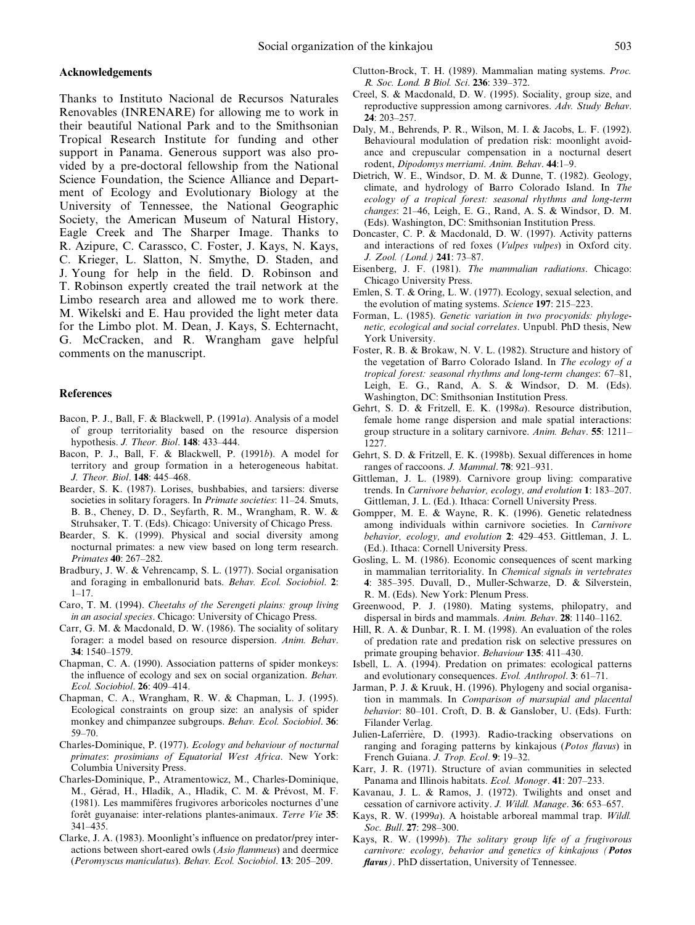#### Acknowledgements

Thanks to Instituto Nacional de Recursos Naturales Renovables (INRENARE) for allowing me to work in their beautiful National Park and to the Smithsonian Tropical Research Institute for funding and other support in Panama. Generous support was also provided by a pre-doctoral fellowship from the National Science Foundation, the Science Alliance and Department of Ecology and Evolutionary Biology at the University of Tennessee, the National Geographic Society, the American Museum of Natural History, Eagle Creek and The Sharper Image. Thanks to R. Azipure, C. Carassco, C. Foster, J. Kays, N. Kays, C. Krieger, L. Slatton, N. Smythe, D. Staden, and J. Young for help in the field. D. Robinson and T. Robinson expertly created the trail network at the Limbo research area and allowed me to work there. M. Wikelski and E. Hau provided the light meter data for the Limbo plot. M. Dean, J. Kays, S. Echternacht, G. McCracken, and R. Wrangham gave helpful comments on the manuscript.

#### References

- Bacon, P. J., Ball, F. & Blackwell, P. (1991a). Analysis of a model of group territoriality based on the resource dispersion hypothesis. J. Theor. Biol. 148: 433-444.
- Bacon, P. J., Ball, F. & Blackwell, P. (1991b). A model for territory and group formation in a heterogeneous habitat. J. Theor. Biol. 148: 445-468.
- Bearder, S. K. (1987). Lorises, bushbabies, and tarsiers: diverse societies in solitary foragers. In Primate societies: 11-24. Smuts, B. B., Cheney, D. D., Seyfarth, R. M., Wrangham, R. W. & Struhsaker, T. T. (Eds). Chicago: University of Chicago Press.
- Bearder, S. K. (1999). Physical and social diversity among nocturnal primates: a new view based on long term research. Primates 40: 267-282.
- Bradbury, J. W. & Vehrencamp, S. L. (1977). Social organisation and foraging in emballonurid bats. Behav. Ecol. Sociobiol. 2:  $1 - 17$ .
- Caro, T. M. (1994). Cheetahs of the Serengeti plains: group living in an asocial species. Chicago: University of Chicago Press.
- Carr, G. M. & Macdonald, D. W. (1986). The sociality of solitary forager: a model based on resource dispersion. Anim. Behav. 34: 1540±1579.
- Chapman, C. A. (1990). Association patterns of spider monkeys: the influence of ecology and sex on social organization. Behav. Ecol. Sociobiol. 26: 409-414.
- Chapman, C. A., Wrangham, R. W. & Chapman, L. J. (1995). Ecological constraints on group size: an analysis of spider monkey and chimpanzee subgroups. Behav. Ecol. Sociobiol. 36: 59±70.
- Charles-Dominique, P. (1977). Ecology and behaviour of nocturnal primates: prosimians of Equatorial West Africa. New York: Columbia University Press.
- Charles-Dominique, P., Atramentowicz, M., Charles-Dominique, M., Gérad, H., Hladik, A., Hladik, C. M. & Prévost, M. F. (1981). Les mammiféres frugivores arboricoles nocturnes d'une forêt guyanaise: inter-relations plantes-animaux. Terre Vie 35: 341±435.
- Clarke, J. A. (1983). Moonlight's influence on predator/prey interactions between short-eared owls (*Asio flammeus*) and deermice (Peromyscus maniculatus). Behav. Ecol. Sociobiol. 13: 205-209.
- Clutton-Brock, T. H. (1989). Mammalian mating systems. Proc. R. Soc. Lond. B Biol. Sci. 236: 339-372.
- Creel, S. & Macdonald, D. W. (1995). Sociality, group size, and reproductive suppression among carnivores. Adv. Study Behav.  $24: 203 - 257.$
- Daly, M., Behrends, P. R., Wilson, M. I. & Jacobs, L. F. (1992). Behavioural modulation of predation risk: moonlight avoidance and crepuscular compensation in a nocturnal desert rodent, Dipodomys merriami. Anim. Behav. 44:1-9.
- Dietrich, W. E., Windsor, D. M. & Dunne, T. (1982). Geology, climate, and hydrology of Barro Colorado Island. In The ecology of a tropical forest: seasonal rhythms and long-term changes: 21-46, Leigh, E. G., Rand, A. S. & Windsor, D. M. (Eds). Washington, DC: Smithsonian Institution Press.
- Doncaster, C. P. & Macdonald, D. W. (1997). Activity patterns and interactions of red foxes (Vulpes vulpes) in Oxford city. J. Zool. (Lond.) 241: 73-87.
- Eisenberg, J. F. (1981). The mammalian radiations. Chicago: Chicago University Press.
- Emlen, S. T. & Oring, L. W. (1977). Ecology, sexual selection, and the evolution of mating systems. Science  $197: 215-223$ .
- Forman, L. (1985). Genetic variation in two procyonids: phylogenetic, ecological and social correlates. Unpubl. PhD thesis, New York University.
- Foster, R. B. & Brokaw, N. V. L. (1982). Structure and history of the vegetation of Barro Colorado Island. In The ecology of a tropical forest: seasonal rhythms and long-term changes:  $67-81$ , Leigh, E. G., Rand, A. S. & Windsor, D. M. (Eds). Washington, DC: Smithsonian Institution Press.
- Gehrt, S. D. & Fritzell, E. K. (1998a). Resource distribution, female home range dispersion and male spatial interactions: group structure in a solitary carnivore. Anim. Behav.  $55: 1211-$ 1227.
- Gehrt, S. D. & Fritzell, E. K. (1998b). Sexual differences in home ranges of raccoons. J. Mammal. 78: 921-931.
- Gittleman, J. L. (1989). Carnivore group living: comparative trends. In *Carnivore behavior, ecology, and evolution*  $1: 183-207$ . Gittleman, J. L. (Ed.). Ithaca: Cornell University Press.
- Gompper, M. E. & Wayne, R. K. (1996). Genetic relatedness among individuals within carnivore societies. In Carnivore behavior, ecology, and evolution 2: 429-453. Gittleman, J. L. (Ed.). Ithaca: Cornell University Press.
- Gosling, L. M. (1986). Economic consequences of scent marking in mammalian territoriality. In Chemical signals in vertebrates 4: 385-395. Duvall, D., Muller-Schwarze, D. & Silverstein, R. M. (Eds). New York: Plenum Press.
- Greenwood, P. J. (1980). Mating systems, philopatry, and dispersal in birds and mammals. Anim. Behav.  $28: 1140-1162$ .
- Hill, R. A. & Dunbar, R. I. M. (1998). An evaluation of the roles of predation rate and predation risk on selective pressures on primate grouping behavior. Behaviour 135: 411-430.
- Isbell, L. A. (1994). Predation on primates: ecological patterns and evolutionary consequences. Evol. Anthropol. 3: 61-71.
- Jarman, P. J. & Kruuk, H. (1996). Phylogeny and social organisation in mammals. In Comparison of marsupial and placental behavior: 80-101. Croft, D. B. & Ganslober, U. (Eds). Furth: Filander Verlag.
- Julien-Laferrière, D. (1993). Radio-tracking observations on ranging and foraging patterns by kinkajous (Potos flavus) in French Guiana. J. Trop. Ecol. 9: 19-32.
- Karr, J. R. (1971). Structure of avian communities in selected Panama and Illinois habitats. Ecol. Monogr. 41: 207–233.
- Kavanau, J. L. & Ramos, J. (1972). Twilights and onset and cessation of carnivore activity. J. Wildl. Manage. 36: 653-657.
- Kays, R. W. (1999a). A hoistable arboreal mammal trap. Wildl. Soc. Bull. 27: 298-300.
- Kays, R. W. (1999b). The solitary group life of a frugivorous carnivore: ecology, behavior and genetics of kinkajous (Potos  $flavus$ ). PhD dissertation, University of Tennessee.